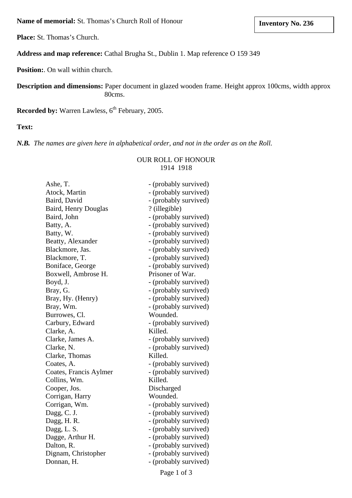**Name of memorial:** St. Thomas's Church Roll of Honour

**Place:** St. Thomas's Church.

## **Address and map reference:** Cathal Brugha St., Dublin 1. Map reference O 159 349

**Position:**. On wall within church.

**Description and dimensions:** Paper document in glazed wooden frame. Height approx 100cms, width approx 80cms.

**Recorded by: Warren Lawless, 6<sup>th</sup> February, 2005.** 

**Text:**

*N.B. The names are given here in alphabetical order, and not in the order as on the Roll.* 

## OUR ROLL OF HONOUR 1914 1918

| Ashe, T.               | - (probably survived) |
|------------------------|-----------------------|
| Atock, Martin          | - (probably survived) |
| Baird, David           | - (probably survived) |
| Baird, Henry Douglas   | ? (illegible)         |
| Baird, John            | - (probably survived) |
| Batty, A.              | - (probably survived) |
| Batty, W.              | - (probably survived) |
| Beatty, Alexander      | - (probably survived) |
| Blackmore, Jas.        | - (probably survived) |
| Blackmore, T.          | - (probably survived) |
| Boniface, George       | - (probably survived) |
| Boxwell, Ambrose H.    | Prisoner of War.      |
| Boyd, J.               | - (probably survived) |
| Bray, G.               | - (probably survived) |
| Bray, Hy. (Henry)      | - (probably survived) |
| Bray, Wm.              | - (probably survived) |
| Burrowes, Cl.          | Wounded.              |
| Carbury, Edward        | - (probably survived) |
| Clarke, A.             | Killed.               |
| Clarke, James A.       | - (probably survived) |
| Clarke, N.             | - (probably survived) |
| Clarke, Thomas         | Killed.               |
| Coates, A.             | - (probably survived) |
| Coates, Francis Aylmer | - (probably survived) |
| Collins, Wm.           | Killed.               |
| Cooper, Jos.           | Discharged            |
| Corrigan, Harry        | Wounded.              |
| Corrigan, Wm.          | - (probably survived) |
| Dagg, C. J.            | - (probably survived) |
| Dagg, H.R.             | - (probably survived) |
| Dagg, L. S.            | - (probably survived) |
| Dagge, Arthur H.       | - (probably survived) |
| Dalton, R.             | - (probably survived) |
| Dignam, Christopher    | - (probably survived) |
| Donnan, H.             | - (probably survived) |
|                        |                       |

Page 1 of 3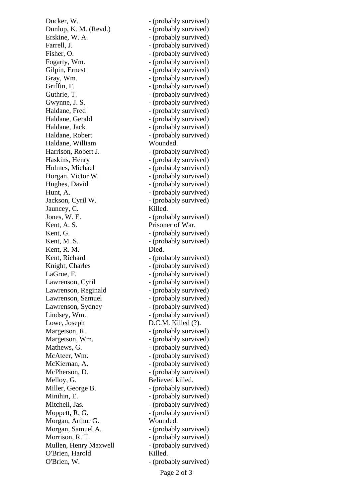Ducker, W.  $-$  (probably survived) Dunlop, K. M. (Revd.) - (probably survived) Erskine, W. A.  $\qquad \qquad$  - (probably survived) Farrell, J.  $\qquad \qquad \text{(probably survived)}$ Fisher, O.  $\qquad \qquad$  - (probably survived) Fogarty, Wm.  $\qquad \qquad$  - (probably survived) Gilpin, Ernest - (probably survived) Gray, Wm.  $-$  (probably survived) Griffin, F. (probably survived) Guthrie, T. (probably survived) Gwynne, J. S. (probably survived) Haldane, Fred  $-$  (probably survived) Haldane, Gerald - (probably survived) Haldane, Jack - (probably survived) Haldane, Robert - (probably survived) Haldane, William Wounded. Harrison, Robert J. (probably survived) Haskins, Henry - (probably survived) Holmes, Michael - (probably survived) Horgan, Victor W. - (probably survived) Hughes, David - (probably survived) Hunt, A.  $\sim$  (probably survived) Jackson, Cyril W. - (probably survived) Jauncey, C. Killed. Jones, W. E. (probably survived) Kent, A. S. Prisoner of War. Kent, G.  $\blacksquare$ Kent, M. S. (probably survived) Kent, R. M. Died. Kent, Richard - (probably survived) Knight, Charles - (probably survived) LaGrue, F. (probably survived) Lawrenson, Cyril - (probably survived) Lawrenson, Reginald - (probably survived) Lawrenson, Samuel - (probably survived) Lawrenson, Sydney - (probably survived) Lindsey, Wm.  $\qquad \qquad$  - (probably survived) Lowe, Joseph D.C.M. Killed (?). Margetson, R. (probably survived) Margetson, Wm. - (probably survived) Mathews, G.  $\qquad \qquad$  - (probably survived) McAteer, Wm. (probably survived) McKiernan, A. (probably survived) McPherson, D.  $\qquad \qquad$  - (probably survived) Melloy, G. Believed killed. Miller, George B.  $\qquad \qquad$  - (probably survived) Minihin, E. (probably survived) Mitchell, Jas.  $\qquad \qquad$  - (probably survived) Moppett, R. G. (probably survived) Morgan, Arthur G. Wounded. Morgan, Samuel A. - (probably survived) Morrison, R. T. (probably survived) Mullen, Henry Maxwell - (probably survived) O'Brien, Harold Killed. O'Brien, W. (probably survived)

Page 2 of 3